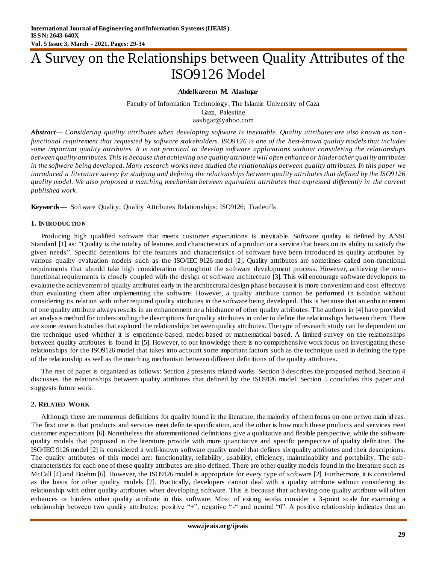# A Survey on the Relationships between Quality Attributes of the ISO9126 Model

## **Abdelkareem M. Alashqar**

Faculty of Information Technology, The Islamic University of Gaza Gaza, Palestine aashgar@yahoo.com

*Abstract— Considering quality attributes when developing software is inevitable. Quality attributes are also known as non functional requirement that requested by software stakeholders. ISO9126 is one of the best-known quality models that includes some important quality attributes. It is not practical to develop software applications without considering the relationships between quality attributes. This is because that achieving one quality attribute will often enhance or hinder other quality attributes in the software being developed. Many research works have studied the relationships between quality attributes. In this paper we introduced a literature survey for studying and defining the relationships between quality attributes that defined by the ISO9126 quality model. We also proposed a matching mechanism between equivalent attributes that expressed differently in the current published work.*

**Keywords—** Software Quality; Quality Attributes Relationships; ISO9126; Tradeoffs

## **1. INTRO DUCTIO N**

Producing high qualified software that meets customer expectations is inevitable. Software quality is defined by ANSI Standar[d \[1\]](#page-5-0) as: "Quality is the totality of features and characteristics of a product or a service that bears on its ability to satisfy the given needs‖. Specific detentions for the features and characteristics of software have been introduced as quality attributes by various quality evaluation models such as the ISO/IEC 9126 mode[l \[2\].](#page-5-1) Quality attributes are sometimes called non-functional requirements that should take high consideration throughout the software development process. However, achieving the nonfunctional requirements is closely coupled with the design of software architectur[e \[3\]](#page-5-2). This will encourage software developers to evaluate the achievement of quality attributes early in the architectural design phase because it is more convenient and cost effective than evaluating them after implementing the software. However, a quality attribute cannot be performed in isolation without considering its relation with other required quality attributes in the software being developed. This is because that an enha ncement of one quality attribute always results in an enhancement or a hindrance of other quality attributes. The authors in [\[4\]](#page-5-3) have provided an analysis method for understanding the descriptions for quality attributes in order to define the relationships between them. There are some research studies that explored the relationships between quality attributes. The type of research study can be dependent on the technique used whether it is experience-based, model-based or mathematical based. A limited survey on the relationships between quality attributes is found i[n \[5\]](#page-5-4). However, to our knowledge there is no comprehensive work focus on investigating these relationships for the ISO9126 model that takes into account some important factors such as the technique used in defining the type of the relationship as well as the matching mechanism between different definitions of the quality attributes.

The rest of paper is organized as follows: Section 2 presents related works. Section 3 describes the proposed method. Section 4 discusses the relationships between quality attributes that defined by the ISO9126 model. Section 5 concludes this paper and suggests future work.

## **2. RELATED WO RK**

Although there are numerous definitions for quality found in the literature, the majority of them focus on one or two main id eas. The first one is that products and services meet definite specification, and the other is how much these products and services meet customer expectation[s \[6\].](#page-5-5) Nonetheless the aforementioned definitions give a qualitative and flexible perspective, while the software quality models that proposed in the literature provide with more quantitative and specific perspective of quality definition. The ISO/IEC 9126 model [\[2\]](#page-5-1) is considered a well-known software quality model that defines six quality attributes and their descriptions. The quality attributes of this model are: functionality, reliability, usability, efficiency, maintainability and portability. The sub characteristics for each one of these quality attributes are also defined. There are other quality models found in the literature such as McCall [\[4\]](#page-5-3) and Boeh[m \[6\].](#page-5-5) However, the ISO9126 model is appropriate for every type of softwar[e \[2\].](#page-5-1) Furthermore, it is considered as the basis for other quality models [\[7\].](#page-5-6) Practically, developers cannot deal with a quality attribute without considering its relationship with other quality attributes when developing software. This is because that achieving one quality attribute will often enhances or hinders other quality attribute in this software. Most of exiting works consider a 3-point scale for examining a relationship between two quality attributes; positive "+", negative "-" and neutral "0". A positive relationship indicates that an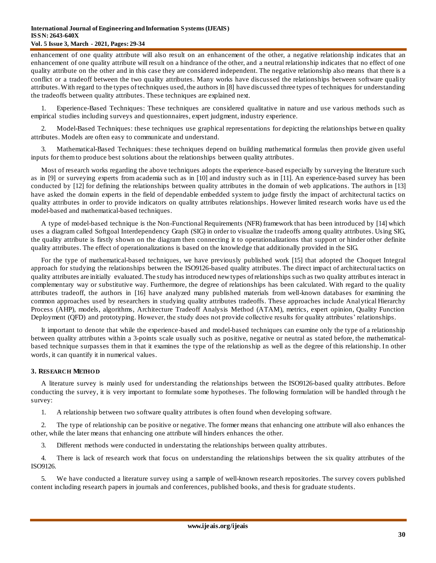#### **International Journal of Engineering and Information Systems (IJEAIS) ISSN: 2643-640X Vol. 5 Issue 3, March - 2021, Pages: 29-34**

enhancement of one quality attribute will also result on an enhancement of the other, a negative relationship indicates that an enhancement of one quality attribute will result on a hindrance of the other, and a neutral relationship indicates that no effect of one quality attribute on the other and in this case they are considered independent. The negative relationship also means that there is a conflict or a tradeoff between the two quality attributes. Many works have discussed the relationships between software quality attributes. With regard to the types of techniques used, the authors in [\[8\]](#page-5-7) have discussed three types of techniques for understanding the tradeoffs between quality attributes. These techniques are explained next.

1. Experience-Based Techniques: These techniques are considered qualitative in nature and use various methods such as empirical studies including surveys and questionnaires, expert judgment, industry experience.

2. Model-Based Techniques: these techniques use graphical representations for depicting the relationships betwe en quality attributes. Models are often easy to communicate and understand.

3. Mathematical-Based Techniques: these techniques depend on building mathematical formulas then provide given useful inputs for them to produce best solutions about the relationships between quality attributes.

Most of research works regarding the above techniques adopts the experience-based especially by surveying the literature such as in [\[9\]](#page-5-8) or surveying experts from academia such as in [\[10\]](#page-5-9) and industry such as in [\[11\].](#page-5-10) An experience-based survey has been conducted b[y \[12\]](#page-5-11) for defining the relationships between quality attributes in the domain of web applications. The authors i[n \[13\]](#page-5-12) have asked the domain experts in the field of dependable embedded system to judge firstly the impact of architectural tactics on quality attributes in order to provide indicators on quality attributes relationships. However limited research works have us ed the model-based and mathematical-based techniques.

A type of model-based technique is the Non-Functional Requirements (NFR) framework that has been introduced b[y \[14\]](#page-5-13) which uses a diagram called Softgoal Interdependency Graph (SIG) in order to visualize the tradeoffs among quality attributes. Using SIG, the quality attribute is firstly shown on the diagram then connecting it to operationalizations that support or hinder other definite quality attributes. The effect of operationalizations is based on the knowledge that additionally provided in the SIG.

For the type of mathematical-based techniques, we have previously published work [\[15\]](#page-5-14) that adopted the Choquet Integral approach for studying the relationships between the ISO9126-based quality attributes. The direct impact of architectural tactics on quality attributes are initially evaluated. The study has introduced new types of relationships such as two quality attribut es interact in complementary way or substitutive way. Furthermore, the degree of relationships has been calculated. With regard to the quality attributes tradeoff, the authors i[n \[16\]](#page-5-15) have analyzed many published materials from well-known databases for examining the common approaches used by researchers in studying quality attributes tradeoffs. These approaches include Analytical Hierarchy Process (AHP), models, algorithms, Architecture Tradeoff Analysis Method (ATAM), metrics, expert opinion, Quality Function Deployment (QFD) and prototyping. However, the study does not provide collective results for quality attributes' relationships.

It important to denote that while the experience-based and model-based techniques can examine only the type of a relationship between quality attributes within a 3-points scale usually such as positive, negative or neutral as stated before, the mathematicalbased technique surpasses them in that it examines the type of the relationship as well as the degree of this relationship. In other words, it can quantify it in numerical values.

## **3. RESEARCH METHO D**

A literature survey is mainly used for understanding the relationships between the ISO9126-based quality attributes. Before conducting the survey, it is very important to formulate some hypotheses. The following formulation will be handled through t he survey:

1. A relationship between two software quality attributes is often found when developing software.

2. The type of relationship can be positive or negative. The former means that enhancing one attribute will also enhances the other, while the later means that enhancing one attribute will hinders enhances the other.

3. Different methods were conducted in understating the relationships between quality attributes.

4. There is lack of research work that focus on understanding the relationships between the six quality attributes of the ISO9126.

5. We have conducted a literature survey using a sample of well-known research repositories. The survey covers published content including research papers in journals and conferences, published books, and thesis for graduate students.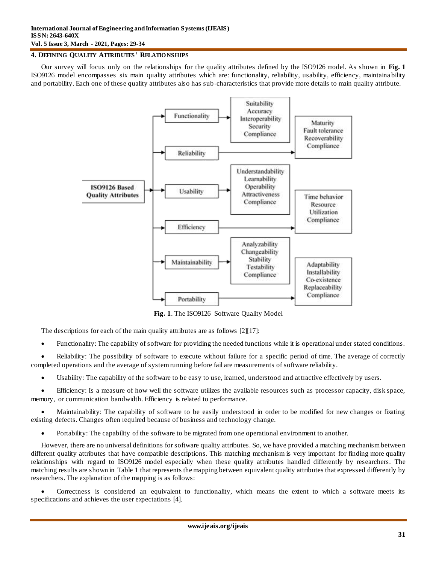#### **4. DEFINING QUALITY ATTRIBUTES' RELATIO NSHIPS**

Our survey will focus only on the relationships for the quality attributes defined by the ISO9126 model. As shown in **[Fig. 1](#page-2-0)** ISO9126 model encompasses six main quality attributes which are: functionality, reliability, usability, efficiency, maintaina bility and portability. Each one of these quality attributes also has sub-characteristics that provide more details to main quality attribute.



**Fig. 1**. The ISO9126 Software Quality Model

<span id="page-2-0"></span>The descriptions for each of the main quality attributes are as follow[s \[2\]\[17\]:](#page-5-1)

Functionality: The capability of software for providing the needed functions while it is operational under stated conditions.

 Reliability: The possibility of software to execute without failure for a specific period of time. The average of correctly completed operations and the average of system running before fail are measurements of software reliability.

Usability: The capability of the software to be easy to use, learned, understood and attractive effectively by users.

 Efficiency: Is a measure of how well the software utilizes the available resources such as processor capacity, disk space, memory, or communication bandwidth. Efficiency is related to performance.

 Maintainability: The capability of software to be easily understood in order to be modified for new changes or fixating existing defects. Changes often required because of business and technology change.

Portability: The capability of the software to be migrated from one operational environment to another.

However, there are no universal definitions for software quality attributes. So, we have provided a matching mechanism betwee n different quality attributes that have compatible descriptions. This matching mechanism is very important for finding more quality relationships with regard to ISO9126 model especially when these quality attributes handled differently by researchers. The matching results are shown in [Table 1](#page-3-0) that represents the mapping between equivalent quality attributes that expressed differently by researchers. The explanation of the mapping is as follows:

 Correctness is considered an equivalent to functionality, which means the extent to which a software meets its specifications and achieves the user expectations [\[4\]](#page-5-3).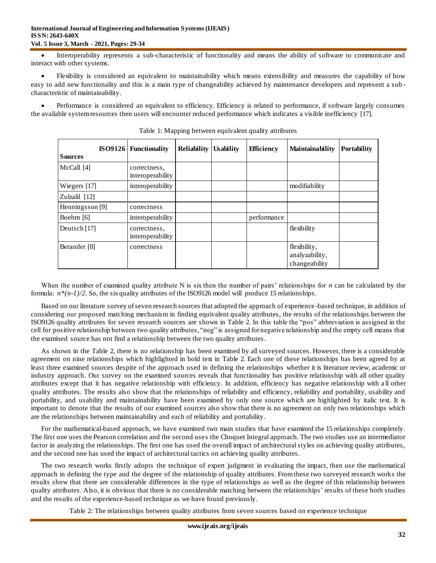#### **International Journal of Engineering and Information Systems (IJEAIS) ISSN: 2643-640X Vol. 5 Issue 3, March - 2021, Pages: 29-34**

 Interoperability represents a sub-characteristic of functionality and means the ability of software to communicate and interact with other systems.

 Flexibility is considered an equivalent to maintainability which means extensibility and measures the capability of how easy to add new functionality and this is a main type of changeability achieved by maintenance developers and represent a sub characteristic of maintainability.

<span id="page-3-0"></span> Performance is considered an equivalent to efficiency. Efficiency is related to performance, if software largely consumes the available system resources then users will encounter reduced performance which indicates a visible inefficiency [\[17\]](#page-5-16).

| <b>Sources</b>  | <b>ISO9126</b> Functionality     | <b>Reliability   Usability</b> | <b>Efficiency</b> | <b>Maintainability</b>                          | <b>Portability</b> |
|-----------------|----------------------------------|--------------------------------|-------------------|-------------------------------------------------|--------------------|
| McCall [4]      | correctness,<br>interoperability |                                |                   |                                                 |                    |
| Wiegers $[17]$  | interoperability                 |                                |                   | modifiability                                   |                    |
| Zulzalil [12]   |                                  |                                |                   |                                                 |                    |
| Henningsson [9] | correctness                      |                                |                   |                                                 |                    |
| Boehm [6]       | interoperability                 |                                | performance       |                                                 |                    |
| Deutsch [17]    | correctness,<br>interoperability |                                |                   | flexibility                                     |                    |
| Berander [8]    | correctness                      |                                |                   | flexibility,<br>analyzability,<br>changeability |                    |

Table 1: Mapping between equivalent quality attributes

When the number of examined quality attribute N is six then the number of pairs' relationships for *n* can be calculated by the formula:  $n*(n-1)/2$ . So, the six quality attributes of the ISO9126 model will produce 15 relationships.

Based on our literature survey of seven research sources that adopted the approach of experience -based technique, in addition of considering our proposed matching mechanism in finding equivalent quality attributes, the results of the relationships between the ISO9126 quality attributes for seven research sources are shown i[n Table 2.](#page-3-1) In this table the "pos" abbreviation is assigned in the cell for positive relationship between two quality attributes, "neg" is assigned for negative relationship and the empty cell means that the examined source has not find a relationship between the two quality attributes.

As shown in the [Table 2](#page-3-1), there is no relationship has been examined by all surveyed sources. However, there is a considerable agreement on nine relationships which highlighted in bold text in [Table 2.](#page-3-1) Each one of these relationships has been agreed by at least three examined sources despite of the approach used in defining the relationships whether it is literature review, academic or industry approach. Our survey on the examined sources reveals that functionality has positive relationship with all other quality attributes except that it has negative relationship with efficiency. In addition, efficiency has negative relationship with a ll other quality attributes. The results also show that the relationships of reliability and efficiency, reliability and portability, usability and portability, and usability and maintainability have been examined by only one source which are highlighted by italic text. It is important to denote that the results of our examined sources also show that there is no agreement on only two relationships which are the relationships between maintainability and each of reliability and portability.

For the mathematical-based approach, we have examined two main studies that have examined the 15 relationships completely. The first one uses the Pearson correlation and the second uses the Choquet Integral approach. The two studies use an intermediator factor in analyzing the relationships. The first one has used the overall impact of architectural styles on achieving quality attributes, and the second one has used the impact of architectural tactics on achieving quality attributes.

The two research works firstly adopts the technique of expert judgment in evaluating the impact, then use the mathematical approach in defining the type and the degree of the relationship of quality attributes. From these two surveyed research works the results show that there are considerable differences in the type of relationships as well as the degree of this relationship between quality attributes. Also, it is obvious that there is no considerable matching between the relationships' results of these both studies and the results of the experience-based technique as we have found previously.

<span id="page-3-1"></span>Table 2: The relationships between quality attributes from seven sources based on experience technique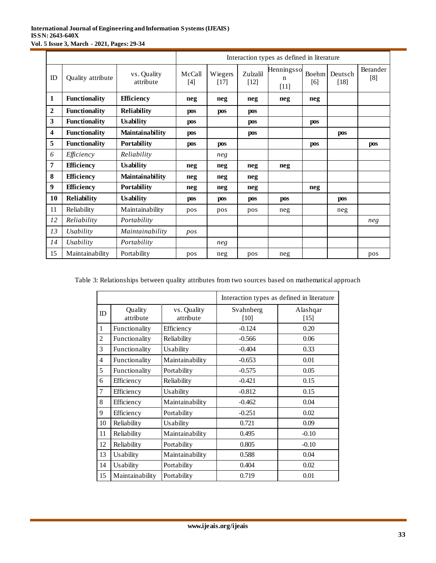## **International Journal of Engineering and Information Systems (IJEAIS) ISSN: 2643-640X Vol. 5 Issue 3, March - 2021, Pages: 29-34**

|    |                      |                          | Interaction types as defined in literature |                   |                    |                           |              |                   |                 |
|----|----------------------|--------------------------|--------------------------------------------|-------------------|--------------------|---------------------------|--------------|-------------------|-----------------|
| ID | Quality attribute    | vs. Quality<br>attribute | McCall<br>$[4]$                            | Wiegers<br>$[17]$ | Zulzalil<br>$[12]$ | Henningsso<br>n<br>$[11]$ | Boehm<br>[6] | Deutsch<br>$[18]$ | Berander<br>[8] |
| 1  | <b>Functionality</b> | <b>Efficiency</b>        | neg                                        | neg               | neg                | neg                       | neg          |                   |                 |
| 2  | <b>Functionality</b> | <b>Reliability</b>       | pos                                        | <b>pos</b>        | pos                |                           |              |                   |                 |
| 3  | <b>Functionality</b> | <b>Usability</b>         | pos                                        |                   | pos                |                           | pos          |                   |                 |
| 4  | <b>Functionality</b> | Maintainability          | pos                                        |                   | pos                |                           |              | pos               |                 |
| 5  | <b>Functionality</b> | Portability              | pos                                        | pos               |                    |                           | pos          |                   | pos             |
| 6  | Efficiency           | Reliability              |                                            | neg               |                    |                           |              |                   |                 |
| 7  | <b>Efficiency</b>    | <b>Usability</b>         | neg                                        | neg               | neg                | neg                       |              |                   |                 |
| 8  | <b>Efficiency</b>    | Maintainability          | neg                                        | neg               | neg                |                           |              |                   |                 |
| 9  | <b>Efficiency</b>    | Portability              | neg                                        | neg               | neg                |                           | neg          |                   |                 |
| 10 | <b>Reliability</b>   | <b>Usability</b>         | pos                                        | pos               | pos                | pos                       |              | pos               |                 |
| 11 | Reliability          | Maintainability          | pos                                        | pos               | pos                | neg                       |              | neg               |                 |
| 12 | Reliability          | Portability              |                                            |                   |                    |                           |              |                   | neg             |
| 13 | Usability            | Maintainability          | pos                                        |                   |                    |                           |              |                   |                 |
| 14 | Usability            | Portability              |                                            | neg               |                    |                           |              |                   |                 |
| 15 | Maintainability      | Portability              | pos                                        | neg               | pos                | neg                       |              |                   | pos             |

Table 3: Relationships between quality attributes from two sources based on mathematical approach

|                |                      |                          | Interaction types as defined in literature |                    |  |  |
|----------------|----------------------|--------------------------|--------------------------------------------|--------------------|--|--|
| ID             | Quality<br>attribute | vs. Quality<br>attribute | Svahnberg<br>[10]                          | Alashqar<br>$[15]$ |  |  |
| $\mathbf{1}$   | Functionality        | Efficiency               | $-0.124$                                   | 0.20               |  |  |
| $\overline{2}$ | Functionality        | Reliability              | $-0.566$                                   | 0.06               |  |  |
| 3              | Functionality        | Usability                | $-0.404$                                   | 0.33               |  |  |
| 4              | Functionality        | Maintainability          | $-0.653$                                   | 0.01               |  |  |
| 5              | Functionality        | Portability              | $-0.575$                                   | 0.05               |  |  |
| 6              | Efficiency           | Reliability              | $-0.421$                                   | 0.15               |  |  |
| 7              | Efficiency           | Usability                | $-0.812$                                   | 0.15               |  |  |
| 8              | Efficiency           | Maintainability          | $-0.462$                                   | 0.04               |  |  |
| 9              | Efficiency           | Portability              | $-0.251$                                   | 0.02               |  |  |
| 10             | Reliability          | Usability                | 0.721                                      | 0.09               |  |  |
| 11             | Reliability          | Maintainability          | 0.495                                      | $-0.10$            |  |  |
| 12             | Reliability          | Portability              | 0.805                                      | $-0.10$            |  |  |
| 13             | Usability            | Maintainability          | 0.588                                      | 0.04               |  |  |
| 14             | Usability            | Portability              | 0.404                                      | 0.02               |  |  |
| 15             | Maintainability      | Portability              | 0.719                                      | 0.01               |  |  |